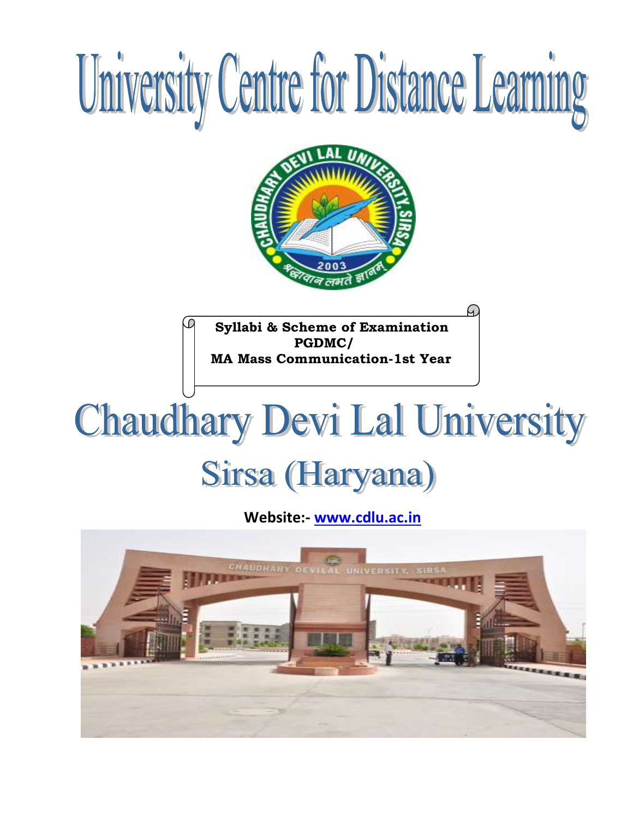

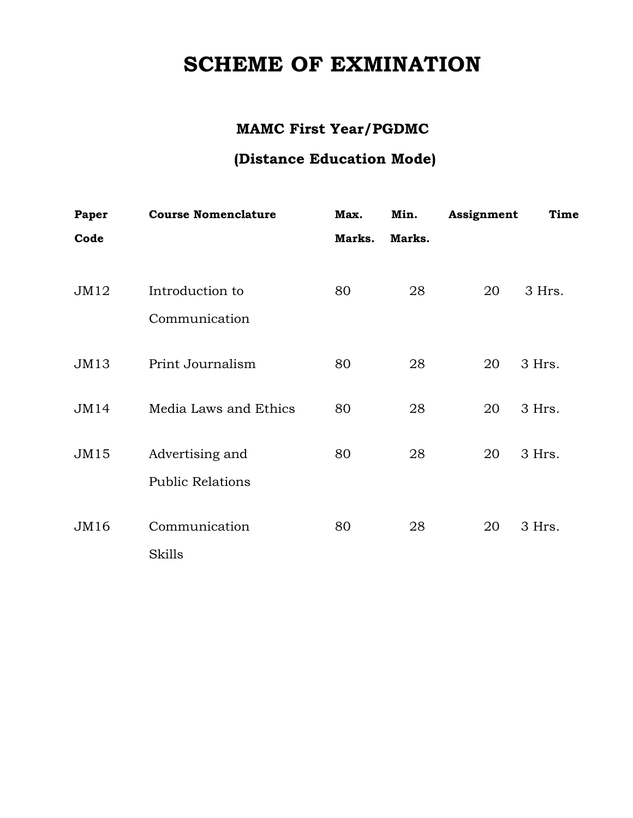# **SCHEME OF EXMINATION**

# **MAMC First Year/PGDMC**

# **(Distance Education Mode)**

| 3 Hrs. |
|--------|
|        |
| 3 Hrs. |
|        |
|        |
| 3 Hrs. |
|        |
| 3 Hrs. |
|        |
|        |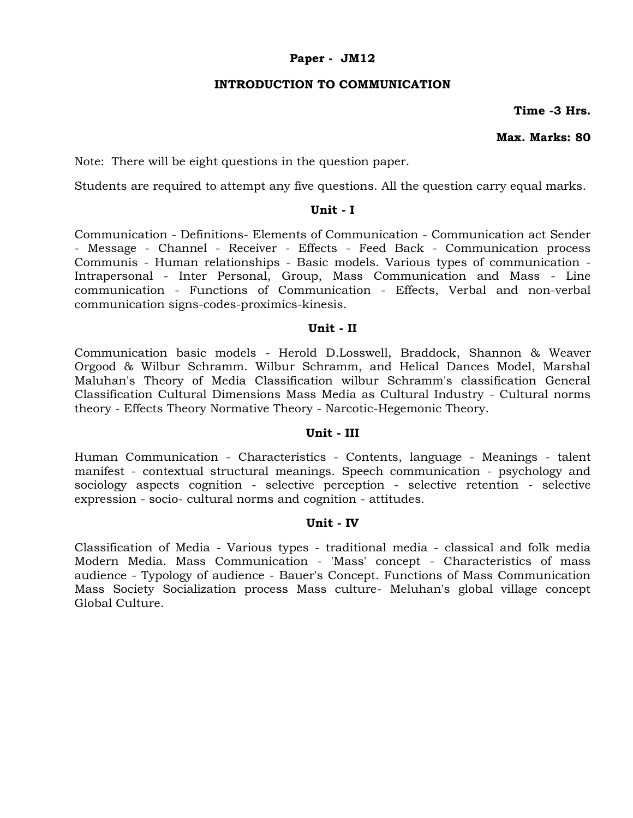#### **Paper - JM12**

#### **INTRODUCTION TO COMMUNICATION**

**Time -3 Hrs.**

# **Max. Marks: 80**

Note: There will be eight questions in the question paper.

Students are required to attempt any five questions. All the question carry equal marks.

# **Unit - I**

Communication - Definitions- Elements of Communication - Communication act Sender - Message - Channel - Receiver - Effects - Feed Back - Communication process Communis - Human relationships - Basic models. Various types of communication - Intrapersonal - Inter Personal, Group, Mass Communication and Mass - Line communication - Functions of Communication - Effects, Verbal and non-verbal communication signs-codes-proximics-kinesis.

#### **Unit - II**

Communication basic models - Herold D.Losswell, Braddock, Shannon & Weaver Orgood & Wilbur Schramm. Wilbur Schramm, and Helical Dances Model, Marshal Maluhan's Theory of Media Classification wilbur Schramm's classification General Classification Cultural Dimensions Mass Media as Cultural Industry - Cultural norms theory - Effects Theory Normative Theory - Narcotic-Hegemonic Theory.

#### **Unit - III**

Human Communication - Characteristics - Contents, language - Meanings - talent manifest - contextual structural meanings. Speech communication - psychology and sociology aspects cognition - selective perception - selective retention - selective expression - socio- cultural norms and cognition - attitudes.

#### **Unit - IV**

Classification of Media - Various types - traditional media - classical and folk media Modern Media. Mass Communication - 'Mass' concept - Characteristics of mass audience - Typology of audience - Bauer's Concept. Functions of Mass Communication Mass Society Socialization process Mass culture- Meluhan's global village concept Global Culture.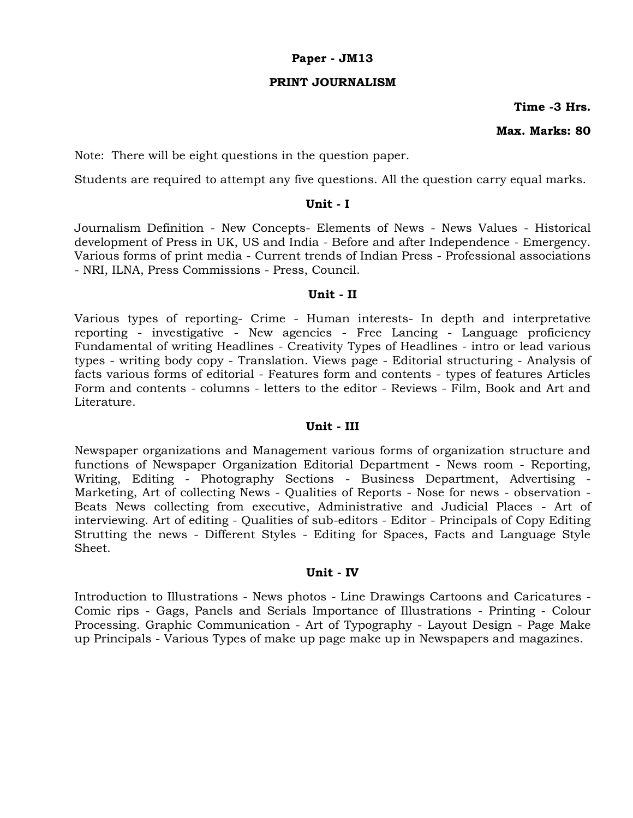#### **Paper - JM13**

#### **PRINT JOURNALISM**

#### **Time -3 Hrs.**

#### **Max. Marks: 80**

Note: There will be eight questions in the question paper.

Students are required to attempt any five questions. All the question carry equal marks.

#### **Unit - I**

Journalism Definition - New Concepts- Elements of News - News Values - Historical development of Press in UK, US and India - Before and after Independence - Emergency. Various forms of print media - Current trends of Indian Press - Professional associations - NRI, ILNA, Press Commissions - Press, Council.

#### **Unit - II**

Various types of reporting- Crime - Human interests- In depth and interpretative reporting - investigative - New agencies - Free Lancing - Language proficiency Fundamental of writing Headlines - Creativity Types of Headlines - intro or lead various types - writing body copy - Translation. Views page - Editorial structuring - Analysis of facts various forms of editorial - Features form and contents - types of features Articles Form and contents - columns - letters to the editor - Reviews - Film, Book and Art and Literature.

#### **Unit - III**

Newspaper organizations and Management various forms of organization structure and functions of Newspaper Organization Editorial Department - News room - Reporting, Writing, Editing - Photography Sections - Business Department, Advertising - Marketing, Art of collecting News - Qualities of Reports - Nose for news - observation - Beats News collecting from executive, Administrative and Judicial Places - Art of interviewing. Art of editing - Qualities of sub-editors - Editor - Principals of Copy Editing Strutting the news - Different Styles - Editing for Spaces, Facts and Language Style Sheet.

#### **Unit - IV**

Introduction to Illustrations - News photos - Line Drawings Cartoons and Caricatures - Comic rips - Gags, Panels and Serials Importance of Illustrations - Printing - Colour Processing. Graphic Communication - Art of Typography - Layout Design - Page Make up Principals - Various Types of make up page make up in Newspapers and magazines.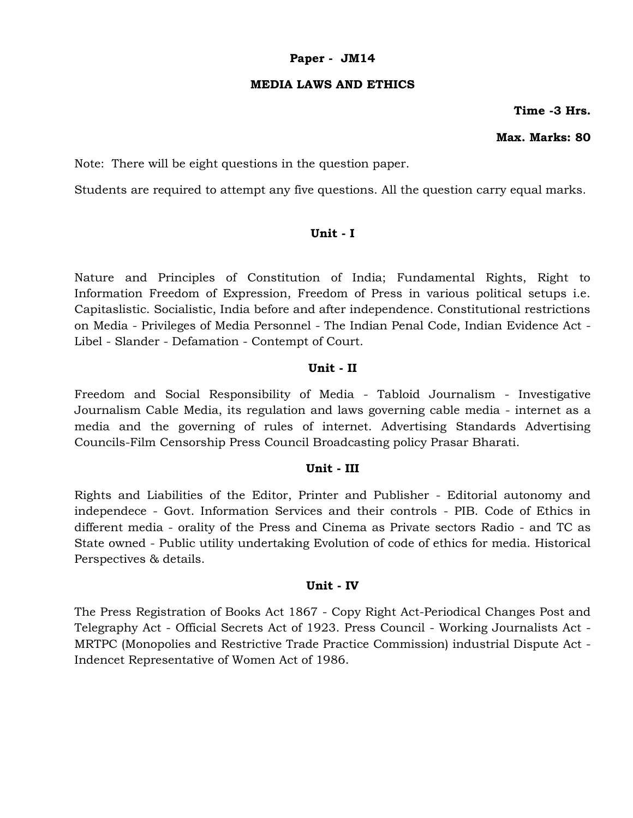#### **Paper - JM14**

#### **MEDIA LAWS AND ETHICS**

**Time -3 Hrs.**

# **Max. Marks: 80**

Note: There will be eight questions in the question paper.

Students are required to attempt any five questions. All the question carry equal marks.

# **Unit - I**

Nature and Principles of Constitution of India; Fundamental Rights, Right to Information Freedom of Expression, Freedom of Press in various political setups i.e. Capitaslistic. Socialistic, India before and after independence. Constitutional restrictions on Media - Privileges of Media Personnel - The Indian Penal Code, Indian Evidence Act - Libel - Slander - Defamation - Contempt of Court.

#### **Unit - II**

Freedom and Social Responsibility of Media - Tabloid Journalism - Investigative Journalism Cable Media, its regulation and laws governing cable media - internet as a media and the governing of rules of internet. Advertising Standards Advertising Councils-Film Censorship Press Council Broadcasting policy Prasar Bharati.

#### **Unit - III**

Rights and Liabilities of the Editor, Printer and Publisher - Editorial autonomy and independece - Govt. Information Services and their controls - PIB. Code of Ethics in different media - orality of the Press and Cinema as Private sectors Radio - and TC as State owned - Public utility undertaking Evolution of code of ethics for media. Historical Perspectives & details.

# **Unit - IV**

The Press Registration of Books Act 1867 - Copy Right Act-Periodical Changes Post and Telegraphy Act - Official Secrets Act of 1923. Press Council - Working Journalists Act - MRTPC (Monopolies and Restrictive Trade Practice Commission) industrial Dispute Act - Indencet Representative of Women Act of 1986.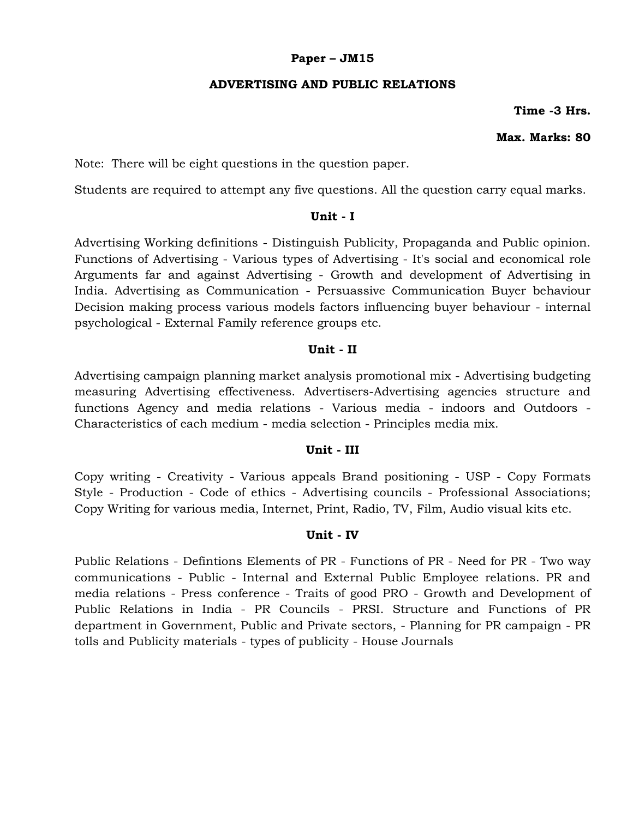# **Paper – JM15**

# **ADVERTISING AND PUBLIC RELATIONS**

**Time -3 Hrs.**

# **Max. Marks: 80**

Note: There will be eight questions in the question paper.

Students are required to attempt any five questions. All the question carry equal marks.

# **Unit - I**

Advertising Working definitions - Distinguish Publicity, Propaganda and Public opinion. Functions of Advertising - Various types of Advertising - It's social and economical role Arguments far and against Advertising - Growth and development of Advertising in India. Advertising as Communication - Persuassive Communication Buyer behaviour Decision making process various models factors influencing buyer behaviour - internal psychological - External Family reference groups etc.

# **Unit - II**

Advertising campaign planning market analysis promotional mix - Advertising budgeting measuring Advertising effectiveness. Advertisers-Advertising agencies structure and functions Agency and media relations - Various media - indoors and Outdoors - Characteristics of each medium - media selection - Principles media mix.

# **Unit - III**

Copy writing - Creativity - Various appeals Brand positioning - USP - Copy Formats Style - Production - Code of ethics - Advertising councils - Professional Associations; Copy Writing for various media, Internet, Print, Radio, TV, Film, Audio visual kits etc.

# **Unit - IV**

Public Relations - Defintions Elements of PR - Functions of PR - Need for PR - Two way communications - Public - Internal and External Public Employee relations. PR and media relations - Press conference - Traits of good PRO - Growth and Development of Public Relations in India - PR Councils - PRSI. Structure and Functions of PR department in Government, Public and Private sectors, - Planning for PR campaign - PR tolls and Publicity materials - types of publicity - House Journals